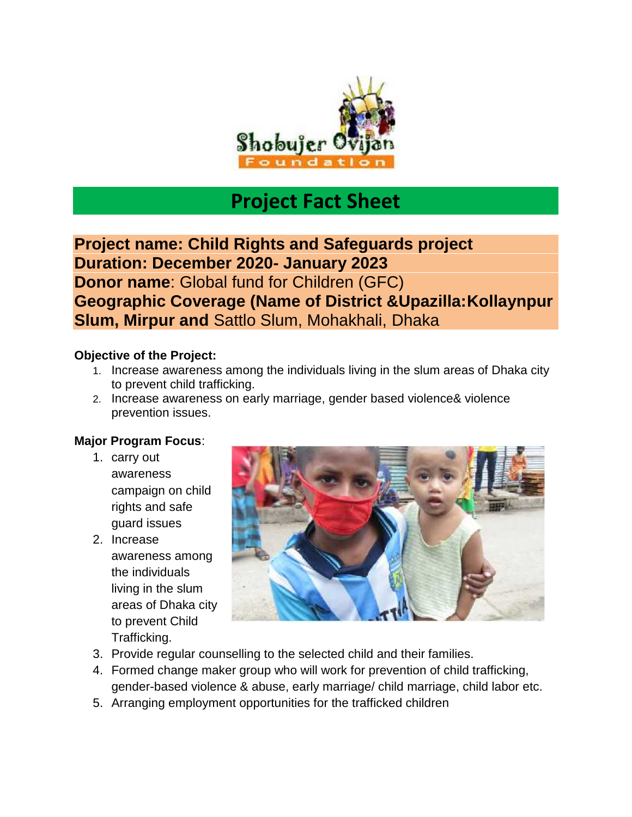

## **Project Fact Sheet**

**Project name: Child Rights and Safeguards project Duration: December 2020- January 2023 Donor name**: Global fund for Children (GFC) **Geographic Coverage (Name of District &Upazilla:Kollaynpur Slum, Mirpur and** Sattlo Slum, Mohakhali, Dhaka

## **Objective of the Project:**

- 1. Increase awareness among the individuals living in the slum areas of Dhaka city to prevent child trafficking.
- 2. Increase awareness on early marriage, gender based violence& violence prevention issues.

## **Major Program Focus**:

- 1. carry out awareness campaign on child rights and safe guard issues
- 2. Increase awareness among the individuals living in the slum areas of Dhaka city to prevent Child Trafficking.



- 3. Provide regular counselling to the selected child and their families.
- 4. Formed change maker group who will work for prevention of child trafficking, gender-based violence & abuse, early marriage/ child marriage, child labor etc.
- 5. Arranging employment opportunities for the trafficked children